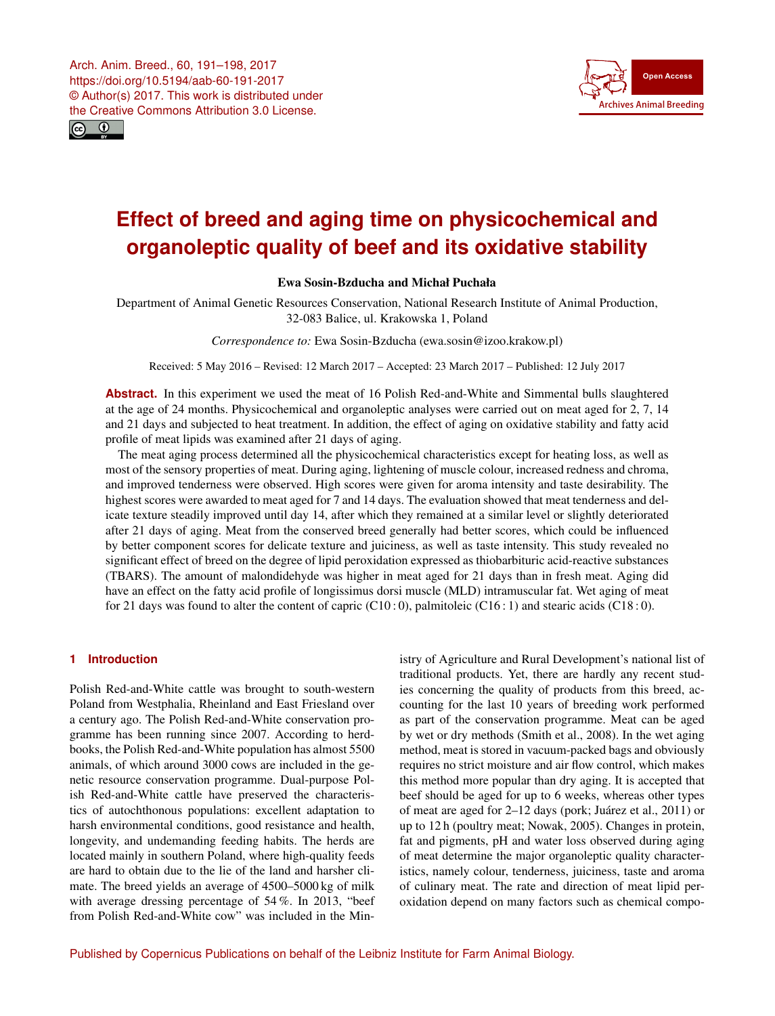<span id="page-0-0"></span>



# **Effect of breed and aging time on physicochemical and organoleptic quality of beef and its oxidative stability**

## Ewa Sosin-Bzducha and Michał Puchała

Department of Animal Genetic Resources Conservation, National Research Institute of Animal Production, 32-083 Balice, ul. Krakowska 1, Poland

*Correspondence to:* Ewa Sosin-Bzducha (ewa.sosin@izoo.krakow.pl)

Received: 5 May 2016 – Revised: 12 March 2017 – Accepted: 23 March 2017 – Published: 12 July 2017

**Abstract.** In this experiment we used the meat of 16 Polish Red-and-White and Simmental bulls slaughtered at the age of 24 months. Physicochemical and organoleptic analyses were carried out on meat aged for 2, 7, 14 and 21 days and subjected to heat treatment. In addition, the effect of aging on oxidative stability and fatty acid profile of meat lipids was examined after 21 days of aging.

The meat aging process determined all the physicochemical characteristics except for heating loss, as well as most of the sensory properties of meat. During aging, lightening of muscle colour, increased redness and chroma, and improved tenderness were observed. High scores were given for aroma intensity and taste desirability. The highest scores were awarded to meat aged for 7 and 14 days. The evaluation showed that meat tenderness and delicate texture steadily improved until day 14, after which they remained at a similar level or slightly deteriorated after 21 days of aging. Meat from the conserved breed generally had better scores, which could be influenced by better component scores for delicate texture and juiciness, as well as taste intensity. This study revealed no significant effect of breed on the degree of lipid peroxidation expressed as thiobarbituric acid-reactive substances (TBARS). The amount of malondidehyde was higher in meat aged for 21 days than in fresh meat. Aging did have an effect on the fatty acid profile of longissimus dorsi muscle (MLD) intramuscular fat. Wet aging of meat for 21 days was found to alter the content of capric (C10:0), palmitoleic (C16:1) and stearic acids (C18:0).

### **1 Introduction**

Polish Red-and-White cattle was brought to south-western Poland from Westphalia, Rheinland and East Friesland over a century ago. The Polish Red-and-White conservation programme has been running since 2007. According to herdbooks, the Polish Red-and-White population has almost 5500 animals, of which around 3000 cows are included in the genetic resource conservation programme. Dual-purpose Polish Red-and-White cattle have preserved the characteristics of autochthonous populations: excellent adaptation to harsh environmental conditions, good resistance and health, longevity, and undemanding feeding habits. The herds are located mainly in southern Poland, where high-quality feeds are hard to obtain due to the lie of the land and harsher climate. The breed yields an average of 4500–5000 kg of milk with average dressing percentage of 54 %. In 2013, "beef from Polish Red-and-White cow" was included in the Ministry of Agriculture and Rural Development's national list of traditional products. Yet, there are hardly any recent studies concerning the quality of products from this breed, accounting for the last 10 years of breeding work performed as part of the conservation programme. Meat can be aged by wet or dry methods (Smith et al., 2008). In the wet aging method, meat is stored in vacuum-packed bags and obviously requires no strict moisture and air flow control, which makes this method more popular than dry aging. It is accepted that beef should be aged for up to 6 weeks, whereas other types of meat are aged for 2–12 days (pork; Juárez et al., 2011) or up to 12 h (poultry meat; Nowak, 2005). Changes in protein, fat and pigments, pH and water loss observed during aging of meat determine the major organoleptic quality characteristics, namely colour, tenderness, juiciness, taste and aroma of culinary meat. The rate and direction of meat lipid peroxidation depend on many factors such as chemical compo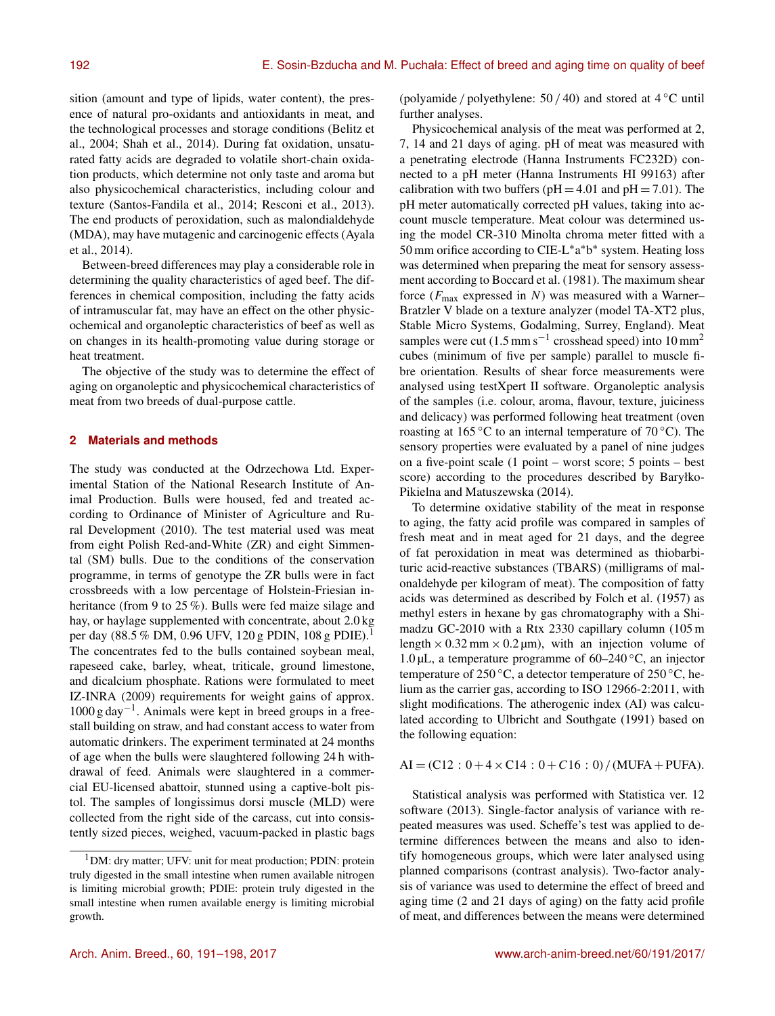sition (amount and type of lipids, water content), the presence of natural pro-oxidants and antioxidants in meat, and the technological processes and storage conditions (Belitz et al., 2004; Shah et al., 2014). During fat oxidation, unsaturated fatty acids are degraded to volatile short-chain oxidation products, which determine not only taste and aroma but also physicochemical characteristics, including colour and texture (Santos-Fandila et al., 2014; Resconi et al., 2013). The end products of peroxidation, such as malondialdehyde (MDA), may have mutagenic and carcinogenic effects (Ayala et al., 2014).

Between-breed differences may play a considerable role in determining the quality characteristics of aged beef. The differences in chemical composition, including the fatty acids of intramuscular fat, may have an effect on the other physicochemical and organoleptic characteristics of beef as well as on changes in its health-promoting value during storage or heat treatment.

The objective of the study was to determine the effect of aging on organoleptic and physicochemical characteristics of meat from two breeds of dual-purpose cattle.

## **2 Materials and methods**

The study was conducted at the Odrzechowa Ltd. Experimental Station of the National Research Institute of Animal Production. Bulls were housed, fed and treated according to Ordinance of Minister of Agriculture and Rural Development (2010). The test material used was meat from eight Polish Red-and-White (ZR) and eight Simmental (SM) bulls. Due to the conditions of the conservation programme, in terms of genotype the ZR bulls were in fact crossbreeds with a low percentage of Holstein-Friesian inheritance (from 9 to 25%). Bulls were fed maize silage and hay, or haylage supplemented with concentrate, about 2.0 kg per day (88.5 % DM, 0.96 UFV, 120 g PDIN, 108 g PDIE).<sup>1</sup> The concentrates fed to the bulls contained soybean meal, rapeseed cake, barley, wheat, triticale, ground limestone, and dicalcium phosphate. Rations were formulated to meet IZ-INRA (2009) requirements for weight gains of approx. 1000 g day−<sup>1</sup> . Animals were kept in breed groups in a freestall building on straw, and had constant access to water from automatic drinkers. The experiment terminated at 24 months of age when the bulls were slaughtered following 24 h withdrawal of feed. Animals were slaughtered in a commercial EU-licensed abattoir, stunned using a captive-bolt pistol. The samples of longissimus dorsi muscle (MLD) were collected from the right side of the carcass, cut into consistently sized pieces, weighed, vacuum-packed in plastic bags (polyamide / polyethylene:  $50 / 40$ ) and stored at  $4 °C$  until further analyses.

Physicochemical analysis of the meat was performed at 2, 7, 14 and 21 days of aging. pH of meat was measured with a penetrating electrode (Hanna Instruments FC232D) connected to a pH meter (Hanna Instruments HI 99163) after calibration with two buffers ( $pH = 4.01$  and  $pH = 7.01$ ). The pH meter automatically corrected pH values, taking into account muscle temperature. Meat colour was determined using the model CR-310 Minolta chroma meter fitted with a 50 mm orifice according to CIE-L\*a\*b\* system. Heating loss was determined when preparing the meat for sensory assessment according to Boccard et al. (1981). The maximum shear force ( $F_{\text{max}}$  expressed in N) was measured with a Warner– Bratzler V blade on a texture analyzer (model TA-XT2 plus, Stable Micro Systems, Godalming, Surrey, England). Meat samples were cut  $(1.5 \text{ mm s}^{-1}$  crosshead speed) into  $10 \text{ mm}^2$ cubes (minimum of five per sample) parallel to muscle fibre orientation. Results of shear force measurements were analysed using testXpert II software. Organoleptic analysis of the samples (i.e. colour, aroma, flavour, texture, juiciness and delicacy) was performed following heat treatment (oven roasting at 165 °C to an internal temperature of 70 °C). The sensory properties were evaluated by a panel of nine judges on a five-point scale (1 point – worst score; 5 points – best score) according to the procedures described by Baryłko-Pikielna and Matuszewska (2014).

To determine oxidative stability of the meat in response to aging, the fatty acid profile was compared in samples of fresh meat and in meat aged for 21 days, and the degree of fat peroxidation in meat was determined as thiobarbituric acid-reactive substances (TBARS) (milligrams of malonaldehyde per kilogram of meat). The composition of fatty acids was determined as described by Folch et al. (1957) as methyl esters in hexane by gas chromatography with a Shimadzu GC-2010 with a Rtx 2330 capillary column (105 m length  $\times$  0.32 mm  $\times$  0.2 µm), with an injection volume of 1.0 μL, a temperature programme of 60–240 °C, an injector temperature of 250 °C, a detector temperature of 250 °C, helium as the carrier gas, according to ISO 12966-2:2011, with slight modifications. The atherogenic index (AI) was calculated according to Ulbricht and Southgate (1991) based on the following equation:

$$
AI = (C12 : 0 + 4 \times C14 : 0 + C16 : 0) / (MUFA + PUFA).
$$

Statistical analysis was performed with Statistica ver. 12 software (2013). Single-factor analysis of variance with repeated measures was used. Scheffe's test was applied to determine differences between the means and also to identify homogeneous groups, which were later analysed using planned comparisons (contrast analysis). Two-factor analysis of variance was used to determine the effect of breed and aging time (2 and 21 days of aging) on the fatty acid profile of meat, and differences between the means were determined

<sup>&</sup>lt;sup>1</sup>DM: dry matter; UFV: unit for meat production; PDIN: protein truly digested in the small intestine when rumen available nitrogen is limiting microbial growth; PDIE: protein truly digested in the small intestine when rumen available energy is limiting microbial growth.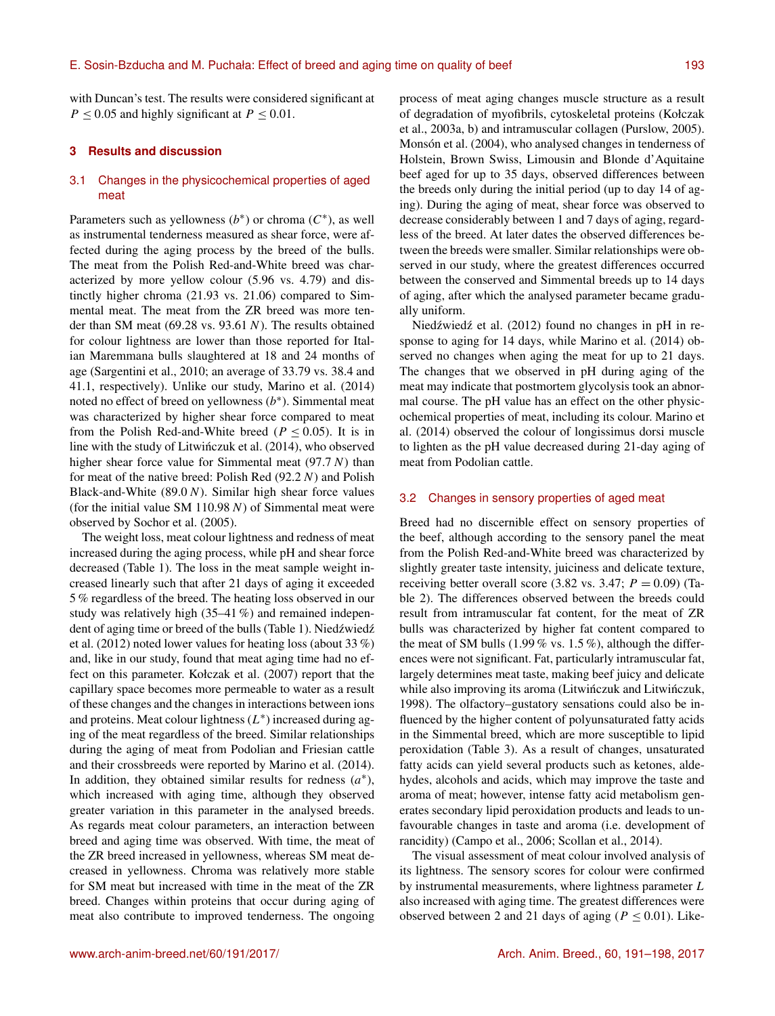with Duncan's test. The results were considered significant at  $P \le 0.05$  and highly significant at  $P \le 0.01$ .

### **3 Results and discussion**

## 3.1 Changes in the physicochemical properties of aged meat

Parameters such as yellowness  $(b^*)$  or chroma  $(C^*)$ , as well as instrumental tenderness measured as shear force, were affected during the aging process by the breed of the bulls. The meat from the Polish Red-and-White breed was characterized by more yellow colour (5.96 vs. 4.79) and distinctly higher chroma (21.93 vs. 21.06) compared to Simmental meat. The meat from the ZR breed was more tender than SM meat  $(69.28 \text{ vs. } 93.61 \text{ N})$ . The results obtained for colour lightness are lower than those reported for Italian Maremmana bulls slaughtered at 18 and 24 months of age (Sargentini et al., 2010; an average of 33.79 vs. 38.4 and 41.1, respectively). Unlike our study, Marino et al. (2014) noted no effect of breed on yellowness  $(b^*)$ . Simmental meat was characterized by higher shear force compared to meat from the Polish Red-and-White breed ( $P \le 0.05$ ). It is in line with the study of Litwinczuk et al. (2014), who observed higher shear force value for Simmental meat  $(97.7 N)$  than for meat of the native breed: Polish Red (92.2 N) and Polish Black-and-White  $(89.0 N)$ . Similar high shear force values (for the initial value SM 110.98  $N$ ) of Simmental meat were observed by Sochor et al. (2005).

The weight loss, meat colour lightness and redness of meat increased during the aging process, while pH and shear force decreased (Table 1). The loss in the meat sample weight increased linearly such that after 21 days of aging it exceeded 5 % regardless of the breed. The heating loss observed in our study was relatively high (35–41 %) and remained independent of aging time or breed of the bulls (Table 1). Niedźwiedź et al. (2012) noted lower values for heating loss (about 33 %) and, like in our study, found that meat aging time had no effect on this parameter. Kołczak et al. (2007) report that the capillary space becomes more permeable to water as a result of these changes and the changes in interactions between ions and proteins. Meat colour lightness  $(L^*)$  increased during aging of the meat regardless of the breed. Similar relationships during the aging of meat from Podolian and Friesian cattle and their crossbreeds were reported by Marino et al. (2014). In addition, they obtained similar results for redness  $(a^*)$ , which increased with aging time, although they observed greater variation in this parameter in the analysed breeds. As regards meat colour parameters, an interaction between breed and aging time was observed. With time, the meat of the ZR breed increased in yellowness, whereas SM meat decreased in yellowness. Chroma was relatively more stable for SM meat but increased with time in the meat of the ZR breed. Changes within proteins that occur during aging of meat also contribute to improved tenderness. The ongoing

process of meat aging changes muscle structure as a result of degradation of myofibrils, cytoskeletal proteins (Kołczak et al., 2003a, b) and intramuscular collagen (Purslow, 2005). Monsón et al. (2004), who analysed changes in tenderness of Holstein, Brown Swiss, Limousin and Blonde d'Aquitaine beef aged for up to 35 days, observed differences between the breeds only during the initial period (up to day 14 of aging). During the aging of meat, shear force was observed to decrease considerably between 1 and 7 days of aging, regardless of the breed. At later dates the observed differences between the breeds were smaller. Similar relationships were observed in our study, where the greatest differences occurred between the conserved and Simmental breeds up to 14 days of aging, after which the analysed parameter became gradually uniform.

Niedźwiedź et al. (2012) found no changes in pH in response to aging for 14 days, while Marino et al. (2014) observed no changes when aging the meat for up to 21 days. The changes that we observed in pH during aging of the meat may indicate that postmortem glycolysis took an abnormal course. The pH value has an effect on the other physicochemical properties of meat, including its colour. Marino et al. (2014) observed the colour of longissimus dorsi muscle to lighten as the pH value decreased during 21-day aging of meat from Podolian cattle.

### 3.2 Changes in sensory properties of aged meat

Breed had no discernible effect on sensory properties of the beef, although according to the sensory panel the meat from the Polish Red-and-White breed was characterized by slightly greater taste intensity, juiciness and delicate texture, receiving better overall score (3.82 vs. 3.47;  $P = 0.09$ ) (Table 2). The differences observed between the breeds could result from intramuscular fat content, for the meat of ZR bulls was characterized by higher fat content compared to the meat of SM bulls (1.99 % vs. 1.5 %), although the differences were not significant. Fat, particularly intramuscular fat, largely determines meat taste, making beef juicy and delicate while also improving its aroma (Litwinczuk and Litwinczuk, 1998). The olfactory–gustatory sensations could also be influenced by the higher content of polyunsaturated fatty acids in the Simmental breed, which are more susceptible to lipid peroxidation (Table 3). As a result of changes, unsaturated fatty acids can yield several products such as ketones, aldehydes, alcohols and acids, which may improve the taste and aroma of meat; however, intense fatty acid metabolism generates secondary lipid peroxidation products and leads to unfavourable changes in taste and aroma (i.e. development of rancidity) (Campo et al., 2006; Scollan et al., 2014).

The visual assessment of meat colour involved analysis of its lightness. The sensory scores for colour were confirmed by instrumental measurements, where lightness parameter L also increased with aging time. The greatest differences were observed between 2 and 21 days of aging ( $P \le 0.01$ ). Like-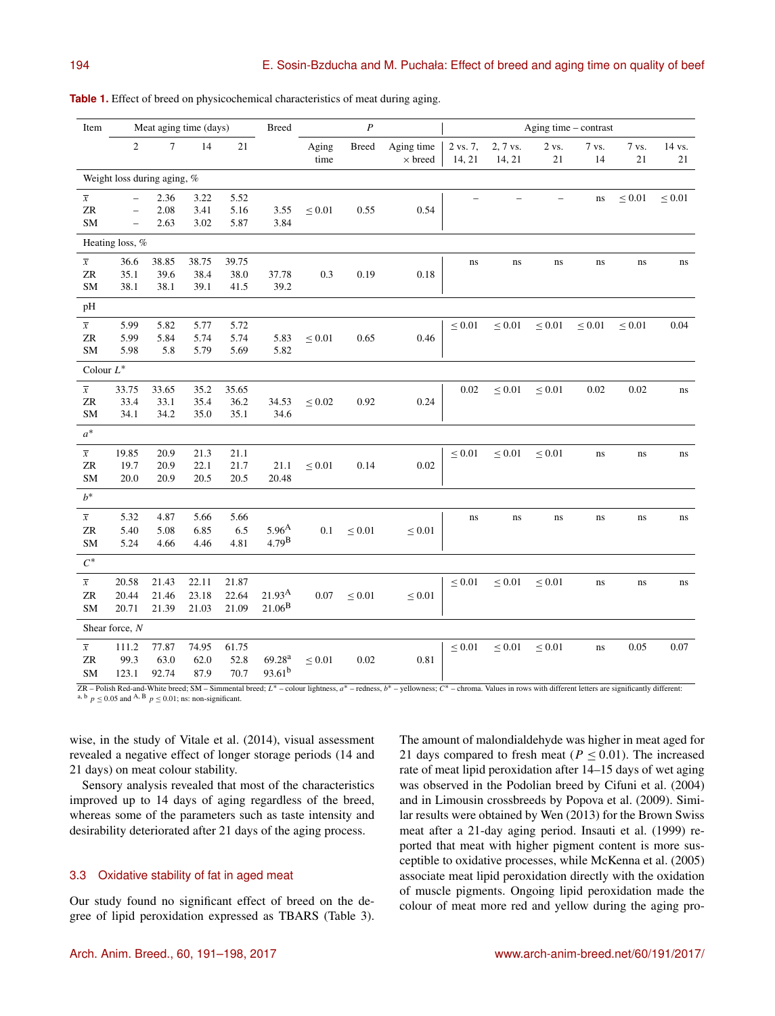| Item                              | Meat aging time (days)   |        |              |              | <b>Breed</b>       | $\boldsymbol{P}$<br>Aging time – contrast |              |                              |                    |                    |                 |             |                 |              |
|-----------------------------------|--------------------------|--------|--------------|--------------|--------------------|-------------------------------------------|--------------|------------------------------|--------------------|--------------------|-----------------|-------------|-----------------|--------------|
|                                   | $\overline{c}$           | $\tau$ | 14           | 21           |                    | Aging<br>time                             | <b>Breed</b> | Aging time<br>$\times$ breed | 2 vs. 7,<br>14, 21 | 2, 7 vs.<br>14, 21 | 2 vs.<br>$21\,$ | 7 vs.<br>14 | 7 vs.<br>$21\,$ | 14 vs.<br>21 |
| Weight loss during aging, %       |                          |        |              |              |                    |                                           |              |                              |                    |                    |                 |             |                 |              |
| $\overline{x}$                    | $\overline{\phantom{0}}$ | 2.36   | 3.22         | 5.52         |                    |                                           |              |                              |                    |                    |                 | ns          | $\leq 0.01$     | $\leq 0.01$  |
| ZR                                | $\overline{\phantom{0}}$ | 2.08   | 3.41         | 5.16         | 3.55               | $\leq 0.01$                               | 0.55         | 0.54                         |                    |                    |                 |             |                 |              |
| SM                                | $\overline{\phantom{0}}$ | 2.63   | 3.02         | 5.87         | 3.84               |                                           |              |                              |                    |                    |                 |             |                 |              |
| Heating loss, %                   |                          |        |              |              |                    |                                           |              |                              |                    |                    |                 |             |                 |              |
| $\overline{x}$                    | 36.6                     | 38.85  | 38.75        | 39.75        |                    |                                           |              |                              | ns                 | ns                 | ns              | ns          | ns              | ns           |
| ${\ensuremath{\mathbf{ZR}}}$      | 35.1                     | 39.6   | 38.4         | 38.0         | 37.78              | 0.3                                       | 0.19         | 0.18                         |                    |                    |                 |             |                 |              |
| SM                                | 38.1                     | 38.1   | 39.1         | 41.5         | 39.2               |                                           |              |                              |                    |                    |                 |             |                 |              |
| pH                                |                          |        |              |              |                    |                                           |              |                              |                    |                    |                 |             |                 |              |
| $\overline{x}$                    | 5.99                     | 5.82   | 5.77         | 5.72         |                    |                                           |              |                              | $\leq 0.01$        | $\leq 0.01$        | $\leq 0.01$     | $\leq 0.01$ | $\leq 0.01$     | 0.04         |
| ZR                                | 5.99                     | 5.84   | 5.74         | 5.74         | 5.83               | $\leq 0.01$                               | 0.65         | 0.46                         |                    |                    |                 |             |                 |              |
| SM                                | 5.98                     | 5.8    | 5.79         | 5.69         | 5.82               |                                           |              |                              |                    |                    |                 |             |                 |              |
| Colour $L^\ast$                   |                          |        |              |              |                    |                                           |              |                              |                    |                    |                 |             |                 |              |
| $\overline{x}$                    | 33.75                    | 33.65  | 35.2         | 35.65        |                    |                                           |              |                              | 0.02               | $\leq 0.01$        | $\leq 0.01$     | 0.02        | 0.02            | $\bf ns$     |
| ${\ensuremath{\mathbf{ZR}}}$      | 33.4                     | 33.1   | 35.4         | 36.2         | 34.53              | $\leq 0.02$                               | 0.92         | 0.24                         |                    |                    |                 |             |                 |              |
| SM                                | 34.1                     | 34.2   | 35.0         | 35.1         | 34.6               |                                           |              |                              |                    |                    |                 |             |                 |              |
| $a^*$                             |                          |        |              |              |                    |                                           |              |                              |                    |                    |                 |             |                 |              |
| $\overline{x}$                    | 19.85                    | 20.9   | 21.3         | 21.1         |                    |                                           |              |                              | $\leq 0.01$        | $\leq 0.01$        | $\leq 0.01$     | ns          | ns              | ns           |
| ZR<br>SM                          | 19.7                     | 20.9   | 22.1<br>20.5 | 21.7<br>20.5 | 21.1               | $\leq 0.01$                               | 0.14         | 0.02                         |                    |                    |                 |             |                 |              |
|                                   | 20.0                     | 20.9   |              |              | 20.48              |                                           |              |                              |                    |                    |                 |             |                 |              |
| $b^*$                             |                          |        |              |              |                    |                                           |              |                              |                    |                    |                 |             |                 |              |
| $\overline{x}$                    | 5.32                     | 4.87   | 5.66         | 5.66         |                    |                                           |              |                              | ns                 | ns                 | ns              | $\bf ns$    | ns              | $\rm ns$     |
| ${\ensuremath{\mathbf{ZR}}}$      | 5.40                     | 5.08   | 6.85         | 6.5          | 5.96 <sup>A</sup>  | 0.1                                       | $\leq 0.01$  | $\leq 0.01$                  |                    |                    |                 |             |                 |              |
| SM                                | 5.24                     | 4.66   | 4.46         | 4.81         | 4.79 <sup>B</sup>  |                                           |              |                              |                    |                    |                 |             |                 |              |
| $C^*$                             |                          |        |              |              |                    |                                           |              |                              |                    |                    |                 |             |                 |              |
| $\overline{x}$                    | 20.58                    | 21.43  | 22.11        | 21.87        |                    |                                           |              |                              | $\leq 0.01$        | $\leq 0.01$        | $\leq 0.01$     | $\bf ns$    | ns              | $\rm ns$     |
| ${\ensuremath{\mathbf{ZR}}}$      | 20.44                    | 21.46  | 23.18        | 22.64        | $21.93^{A}$        | 0.07                                      | $\leq 0.01$  | $\leq 0.01$                  |                    |                    |                 |             |                 |              |
| SM                                | 20.71                    | 21.39  | 21.03        | 21.09        | $21.06^{B}$        |                                           |              |                              |                    |                    |                 |             |                 |              |
| Shear force, N                    |                          |        |              |              |                    |                                           |              |                              |                    |                    |                 |             |                 |              |
| $\overline{x}$                    | 111.2                    | 77.87  | 74.95        | 61.75        |                    |                                           |              |                              | $\leq 0.01$        | $\leq 0.01$        | $\leq 0.01$     | $\bf ns$    | 0.05            | 0.07         |
| $\ensuremath{\mathsf{ZR}}\xspace$ | 99.3                     | 63.0   | 62.0         | 52.8         | 69.28 <sup>a</sup> | $\leq 0.01$                               | 0.02         | 0.81                         |                    |                    |                 |             |                 |              |
| SM                                | 123.1                    | 92.74  | 87.9         | 70.7         | $93.61^{b}$        |                                           |              |                              |                    |                    |                 |             |                 |              |

**Table 1.** Effect of breed on physicochemical characteristics of meat during aging.

ZR – Polish Red-and-White breed; SM – Simmental breed; L <sup>∗</sup> – colour lightness, a <sup>∗</sup> – redness, b <sup>∗</sup> – yellowness; C <sup>∗</sup> – chroma. Values in rows with different letters are significantly different: a, b  $p \le 0.05$  and <sup>A, B</sup>  $p \le 0.01$ ; ns: non-significant.

wise, in the study of Vitale et al. (2014), visual assessment revealed a negative effect of longer storage periods (14 and 21 days) on meat colour stability.

Sensory analysis revealed that most of the characteristics improved up to 14 days of aging regardless of the breed, whereas some of the parameters such as taste intensity and desirability deteriorated after 21 days of the aging process.

### 3.3 Oxidative stability of fat in aged meat

Our study found no significant effect of breed on the degree of lipid peroxidation expressed as TBARS (Table 3). The amount of malondialdehyde was higher in meat aged for 21 days compared to fresh meat ( $P \le 0.01$ ). The increased rate of meat lipid peroxidation after 14–15 days of wet aging was observed in the Podolian breed by Cifuni et al. (2004) and in Limousin crossbreeds by Popova et al. (2009). Similar results were obtained by Wen (2013) for the Brown Swiss meat after a 21-day aging period. Insauti et al. (1999) reported that meat with higher pigment content is more susceptible to oxidative processes, while McKenna et al. (2005) associate meat lipid peroxidation directly with the oxidation of muscle pigments. Ongoing lipid peroxidation made the colour of meat more red and yellow during the aging pro-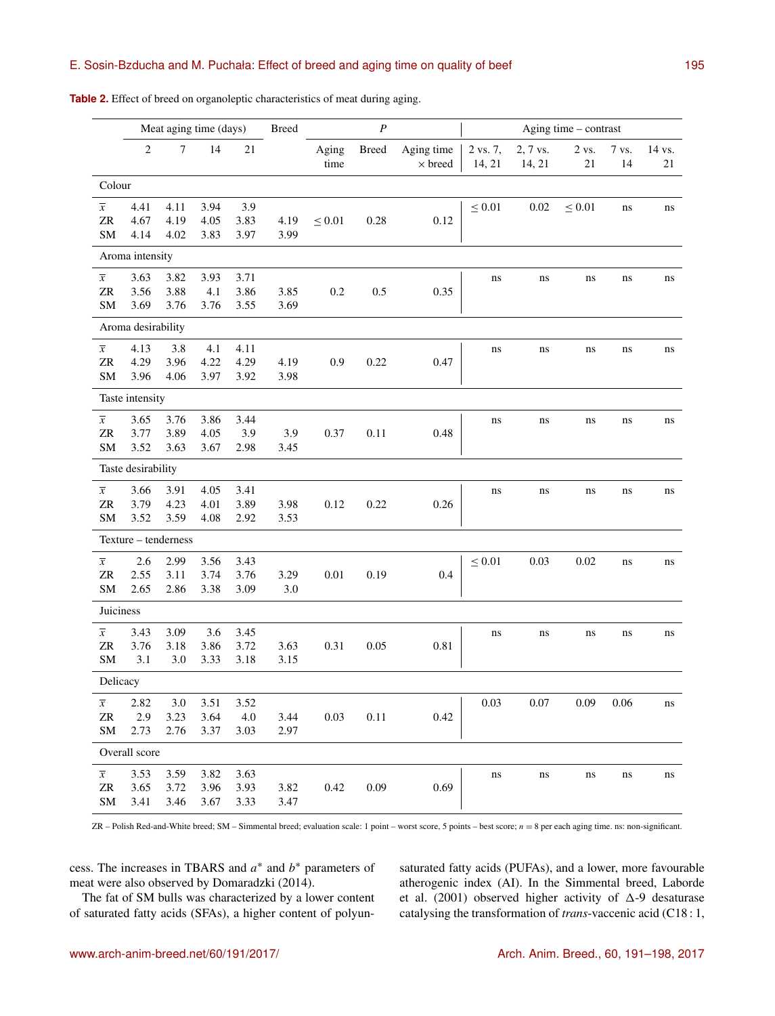## E. Sosin-Bzducha and M. Puchała: Effect of breed and aging time on quality of beef 195

|                                    | Meat aging time (days) |                      |                      |                      | <b>Breed</b> |               | $\boldsymbol{P}$ |                              | Aging time - contrast |                    |             |             |              |
|------------------------------------|------------------------|----------------------|----------------------|----------------------|--------------|---------------|------------------|------------------------------|-----------------------|--------------------|-------------|-------------|--------------|
|                                    | $\overline{2}$         | $\boldsymbol{7}$     | 14                   | 21                   |              | Aging<br>time | <b>Breed</b>     | Aging time<br>$\times$ breed | 2 vs. 7,<br>14, 21    | 2, 7 vs.<br>14, 21 | 2 vs.<br>21 | 7 vs.<br>14 | 14 vs.<br>21 |
| Colour                             |                        |                      |                      |                      |              |               |                  |                              |                       |                    |             |             |              |
| $\overline{x}$<br>${\sf ZR}$<br>SM | 4.41<br>4.67<br>4.14   | 4.11<br>4.19<br>4.02 | 3.94<br>4.05<br>3.83 | 3.9<br>3.83<br>3.97  | 4.19<br>3.99 | $\leq 0.01$   | 0.28             | 0.12                         | $\leq 0.01$           | 0.02               | $\leq 0.01$ | ns          | ns           |
| Aroma intensity                    |                        |                      |                      |                      |              |               |                  |                              |                       |                    |             |             |              |
| $\overline{x}$<br>${\sf ZR}$<br>SM | 3.63<br>3.56<br>3.69   | 3.82<br>3.88<br>3.76 | 3.93<br>4.1<br>3.76  | 3.71<br>3.86<br>3.55 | 3.85<br>3.69 | 0.2           | 0.5              | 0.35                         | ns                    | ns                 | ns          | ns          | ns           |
|                                    | Aroma desirability     |                      |                      |                      |              |               |                  |                              |                       |                    |             |             |              |
| $\overline{x}$<br>ZR<br>${\rm SM}$ | 4.13<br>4.29<br>3.96   | 3.8<br>3.96<br>4.06  | 4.1<br>4.22<br>3.97  | 4.11<br>4.29<br>3.92 | 4.19<br>3.98 | 0.9           | 0.22             | 0.47                         | ns                    | ns                 | ns          | ns          | ns           |
| Taste intensity                    |                        |                      |                      |                      |              |               |                  |                              |                       |                    |             |             |              |
| $\overline{x}$<br>${\sf ZR}$<br>SM | 3.65<br>3.77<br>3.52   | 3.76<br>3.89<br>3.63 | 3.86<br>4.05<br>3.67 | 3.44<br>3.9<br>2.98  | 3.9<br>3.45  | 0.37          | 0.11             | 0.48                         | ns                    | ns                 | ns          | ns          | ns           |
|                                    | Taste desirability     |                      |                      |                      |              |               |                  |                              |                       |                    |             |             |              |
| $\overline{x}$<br>ZR<br>SM         | 3.66<br>3.79<br>3.52   | 3.91<br>4.23<br>3.59 | 4.05<br>4.01<br>4.08 | 3.41<br>3.89<br>2.92 | 3.98<br>3.53 | 0.12          | 0.22             | 0.26                         | ns                    | ns                 | ns          | ns          | ns           |
|                                    | Texture - tenderness   |                      |                      |                      |              |               |                  |                              |                       |                    |             |             |              |
| $\overline{x}$<br>ZR<br>SM         | 2.6<br>2.55<br>2.65    | 2.99<br>3.11<br>2.86 | 3.56<br>3.74<br>3.38 | 3.43<br>3.76<br>3.09 | 3.29<br>3.0  | 0.01          | 0.19             | 0.4                          | $\leq 0.01$           | 0.03               | 0.02        | ns          | ns           |
| Juiciness                          |                        |                      |                      |                      |              |               |                  |                              |                       |                    |             |             |              |
| $\overline{x}$<br>${\sf ZR}$<br>SM | 3.43<br>3.76<br>3.1    | 3.09<br>3.18<br>3.0  | 3.6<br>3.86<br>3.33  | 3.45<br>3.72<br>3.18 | 3.63<br>3.15 | 0.31          | 0.05             | 0.81                         | ns                    | ns                 | ns          | ns          | ns           |
| Delicacy                           |                        |                      |                      |                      |              |               |                  |                              |                       |                    |             |             |              |
| $\overline{x}$<br>ZR<br>SM         | 2.82<br>2.9<br>2.73    | 3.0<br>3.23<br>2.76  | 3.51<br>3.64<br>3.37 | 3.52<br>4.0<br>3.03  | 3.44<br>2.97 | 0.03          | 0.11             | 0.42                         | 0.03                  | 0.07               | 0.09        | 0.06        | ns           |
| Overall score                      |                        |                      |                      |                      |              |               |                  |                              |                       |                    |             |             |              |
| $\overline{x}$<br>ZR<br>${\rm SM}$ | 3.53<br>3.65<br>3.41   | 3.59<br>3.72<br>3.46 | 3.82<br>3.96<br>3.67 | 3.63<br>3.93<br>3.33 | 3.82<br>3.47 | 0.42          | 0.09             | 0.69                         | ns                    | ns                 | ns          | ns          | ns           |

**Table 2.** Effect of breed on organoleptic characteristics of meat during aging.

ZR – Polish Red-and-White breed; SM – Simmental breed; evaluation scale: 1 point – worst score, 5 points – best score; n = 8 per each aging time. ns: non-significant.

cess. The increases in TBARS and  $a^*$  and  $b^*$  parameters of meat were also observed by Domaradzki (2014).

The fat of SM bulls was characterized by a lower content of saturated fatty acids (SFAs), a higher content of polyunsaturated fatty acids (PUFAs), and a lower, more favourable atherogenic index (AI). In the Simmental breed, Laborde et al. (2001) observed higher activity of  $\Delta$ -9 desaturase catalysing the transformation of *trans*-vaccenic acid (C18 : 1,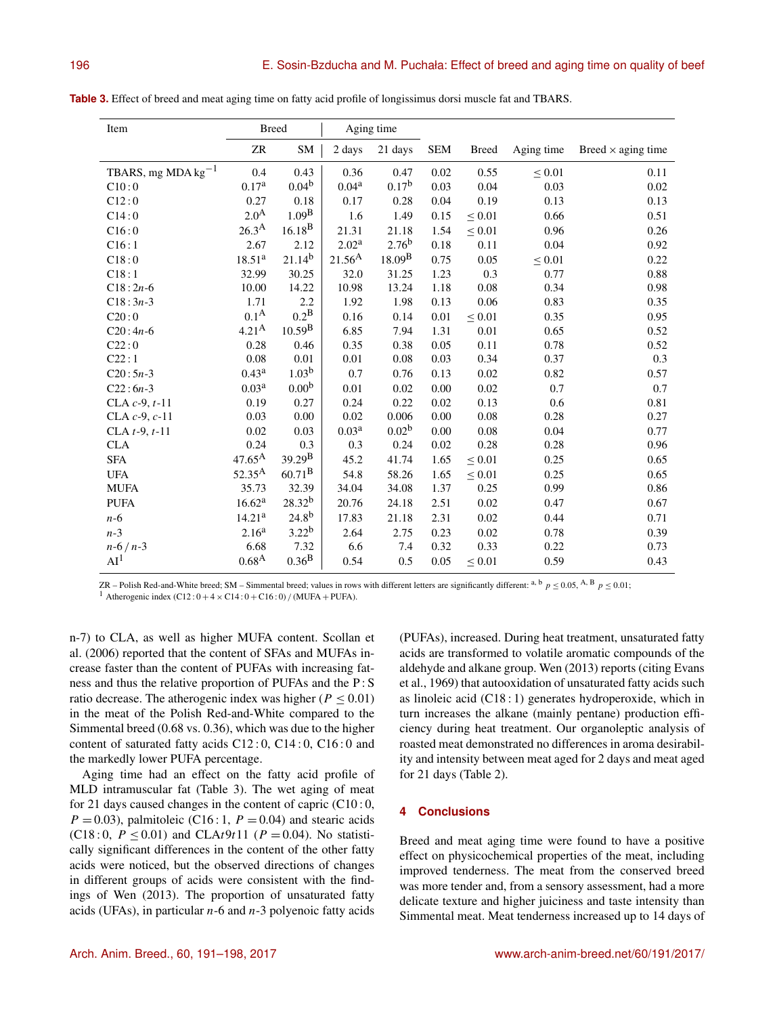| Item                    | <b>Breed</b>       |                    | Aging time        |                   |            |              |             |                           |
|-------------------------|--------------------|--------------------|-------------------|-------------------|------------|--------------|-------------|---------------------------|
|                         | ZR                 | SM                 | 2 days            | 21 days           | <b>SEM</b> | <b>Breed</b> | Aging time  | Breed $\times$ aging time |
| TBARS, mg MDA $kg^{-1}$ | 0.4                | 0.43               | 0.36              | 0.47              | 0.02       | 0.55         | $\leq 0.01$ | 0.11                      |
| C10:0                   | 0.17 <sup>a</sup>  | 0.04 <sup>b</sup>  | 0.04 <sup>a</sup> | 0.17 <sup>b</sup> | 0.03       | 0.04         | 0.03        | 0.02                      |
| C12:0                   | 0.27               | 0.18               | 0.17              | 0.28              | 0.04       | 0.19         | 0.13        | 0.13                      |
| C14:0                   | 2.0 <sup>A</sup>   | 1.09 <sup>B</sup>  | 1.6               | 1.49              | 0.15       | $\leq 0.01$  | 0.66        | 0.51                      |
| C16:0                   | $26.3^{A}$         | $16.18^{B}$        | 21.31             | 21.18             | 1.54       | ${}_{0.01}$  | 0.96        | 0.26                      |
| C16:1                   | 2.67               | 2.12               | 2.02 <sup>a</sup> | $2.76^{b}$        | 0.18       | 0.11         | 0.04        | 0.92                      |
| C18:0                   | 18.51 <sup>a</sup> | $21.14^{b}$        | $21.56^{A}$       | $18.09^{\rm B}$   | 0.75       | 0.05         | $\leq 0.01$ | 0.22                      |
| C18:1                   | 32.99              | 30.25              | 32.0              | 31.25             | 1.23       | 0.3          | 0.77        | 0.88                      |
| $C18:2n-6$              | 10.00              | 14.22              | 10.98             | 13.24             | 1.18       | 0.08         | 0.34        | 0.98                      |
| $C18:3n-3$              | 1.71               | 2.2                | 1.92              | 1.98              | 0.13       | 0.06         | 0.83        | 0.35                      |
| C20:0                   | 0.1 <sup>A</sup>   | $0.2^{\rm B}$      | 0.16              | 0.14              | 0.01       | $\leq 0.01$  | 0.35        | 0.95                      |
| $C20:4n-6$              | $4.21^{A}$         | $10.59^{B}$        | 6.85              | 7.94              | 1.31       | 0.01         | 0.65        | 0.52                      |
| C22:0                   | 0.28               | 0.46               | 0.35              | 0.38              | 0.05       | 0.11         | 0.78        | 0.52                      |
| C22:1                   | 0.08               | 0.01               | 0.01              | 0.08              | 0.03       | 0.34         | 0.37        | 0.3                       |
| $C20:5n-3$              | $0.43^{\rm a}$     | $1.03^{b}$         | 0.7               | 0.76              | 0.13       | 0.02         | 0.82        | 0.57                      |
| $C22:6n-3$              | 0.03 <sup>a</sup>  | 0.00 <sup>b</sup>  | 0.01              | 0.02              | 0.00       | 0.02         | 0.7         | 0.7                       |
| CLA $c-9$ , $t-11$      | 0.19               | 0.27               | 0.24              | 0.22              | 0.02       | 0.13         | 0.6         | 0.81                      |
| CLA $c$ -9, $c$ -11     | 0.03               | 0.00               | 0.02              | 0.006             | 0.00       | 0.08         | 0.28        | 0.27                      |
| CLA $t-9, t-11$         | 0.02               | 0.03               | 0.03 <sup>a</sup> | 0.02 <sup>b</sup> | 0.00       | 0.08         | 0.04        | 0.77                      |
| <b>CLA</b>              | 0.24               | 0.3                | 0.3               | 0.24              | 0.02       | 0.28         | 0.28        | 0.96                      |
| <b>SFA</b>              | $47.65^{\text{A}}$ | $39.29^{\rm B}$    | 45.2              | 41.74             | 1.65       | $\leq 0.01$  | 0.25        | 0.65                      |
| <b>UFA</b>              | $52.35^{\rm A}$    | $60.71^{B}$        | 54.8              | 58.26             | 1.65       | $\leq 0.01$  | 0.25        | 0.65                      |
| <b>MUFA</b>             | 35.73              | 32.39              | 34.04             | 34.08             | 1.37       | 0.25         | 0.99        | 0.86                      |
| <b>PUFA</b>             | 16.62 <sup>a</sup> | 28.32 <sup>b</sup> | 20.76             | 24.18             | 2.51       | 0.02         | 0.47        | 0.67                      |
| $n-6$                   | 14.21 <sup>a</sup> | $24.8^{b}$         | 17.83             | 21.18             | 2.31       | 0.02         | 0.44        | 0.71                      |
| $n-3$                   | 2.16 <sup>a</sup>  | $3.22^{b}$         | 2.64              | 2.75              | 0.23       | 0.02         | 0.78        | 0.39                      |
| $n-6/n-3$               | 6.68               | 7.32               | 6.6               | 7.4               | 0.32       | 0.33         | 0.22        | 0.73                      |
| AI <sup>1</sup>         | $0.68^{A}$         | $0.36^{B}$         | 0.54              | 0.5               | 0.05       | $\leq 0.01$  | 0.59        | 0.43                      |

**Table 3.** Effect of breed and meat aging time on fatty acid profile of longissimus dorsi muscle fat and TBARS.

ZR – Polish Red-and-White breed; SM – Simmental breed; values in rows with different letters are significantly different: a, b  $p \le 0.05$ , A, B  $p \le 0.01$ ; <sup>1</sup> Atherogenic index (C12 :  $0 + 4 \times C14$  :  $0 + C16$  : 0) / (MUFA + PUFA).

n-7) to CLA, as well as higher MUFA content. Scollan et al. (2006) reported that the content of SFAs and MUFAs increase faster than the content of PUFAs with increasing fatness and thus the relative proportion of PUFAs and the P : S ratio decrease. The atherogenic index was higher ( $P \le 0.01$ ) in the meat of the Polish Red-and-White compared to the Simmental breed (0.68 vs. 0.36), which was due to the higher content of saturated fatty acids C12 : 0, C14 : 0, C16 : 0 and the markedly lower PUFA percentage.

Aging time had an effect on the fatty acid profile of MLD intramuscular fat (Table 3). The wet aging of meat for 21 days caused changes in the content of capric  $(C10:0,$  $P = 0.03$ ), palmitoleic (C16 : 1,  $P = 0.04$ ) and stearic acids (C18 : 0,  $P \le 0.01$ ) and CLAt9t11 ( $P = 0.04$ ). No statistically significant differences in the content of the other fatty acids were noticed, but the observed directions of changes in different groups of acids were consistent with the findings of Wen (2013). The proportion of unsaturated fatty acids (UFAs), in particular  $n-6$  and  $n-3$  polyenoic fatty acids

(PUFAs), increased. During heat treatment, unsaturated fatty acids are transformed to volatile aromatic compounds of the aldehyde and alkane group. Wen (2013) reports (citing Evans et al., 1969) that autooxidation of unsaturated fatty acids such as linoleic acid (C18 : 1) generates hydroperoxide, which in turn increases the alkane (mainly pentane) production efficiency during heat treatment. Our organoleptic analysis of roasted meat demonstrated no differences in aroma desirability and intensity between meat aged for 2 days and meat aged for 21 days (Table 2).

## **4 Conclusions**

Breed and meat aging time were found to have a positive effect on physicochemical properties of the meat, including improved tenderness. The meat from the conserved breed was more tender and, from a sensory assessment, had a more delicate texture and higher juiciness and taste intensity than Simmental meat. Meat tenderness increased up to 14 days of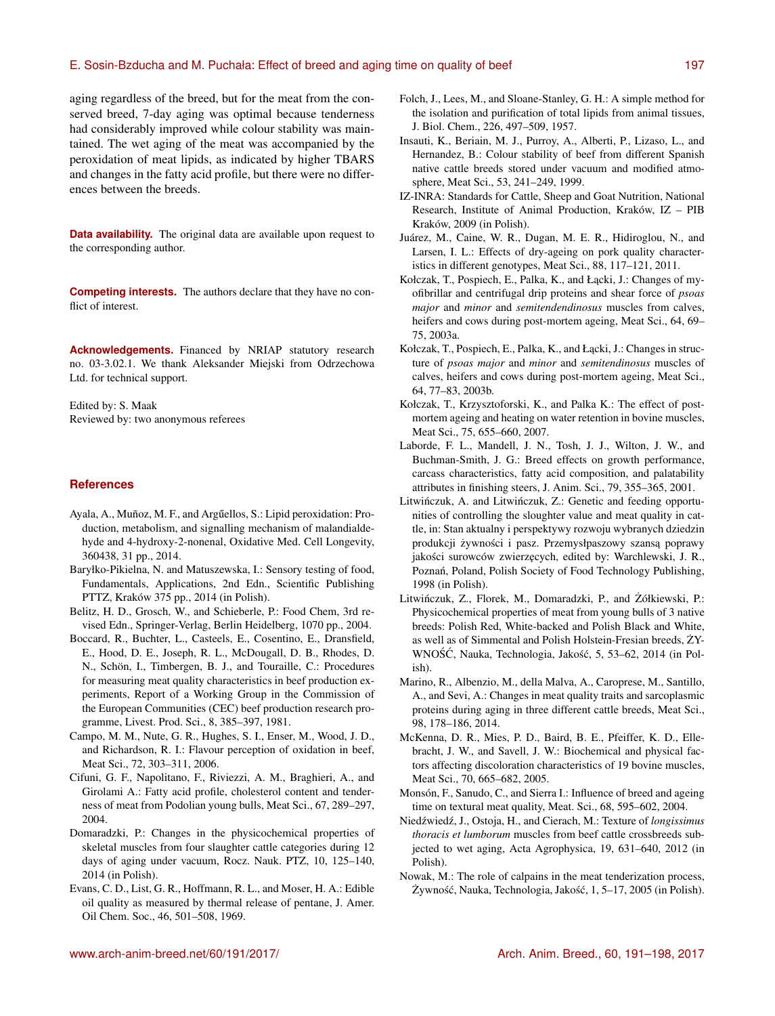### E. Sosin-Bzducha and M. Puchała: Effect of breed and aging time on quality of beef 197

aging regardless of the breed, but for the meat from the conserved breed, 7-day aging was optimal because tenderness had considerably improved while colour stability was maintained. The wet aging of the meat was accompanied by the peroxidation of meat lipids, as indicated by higher TBARS and changes in the fatty acid profile, but there were no differences between the breeds.

**Data availability.** The original data are available upon request to the corresponding author.

**Competing interests.** The authors declare that they have no conflict of interest.

**Acknowledgements.** Financed by NRIAP statutory research no. 03-3.02.1. We thank Aleksander Miejski from Odrzechowa Ltd. for technical support.

Edited by: S. Maak Reviewed by: two anonymous referees

#### **References**

- Ayala, A., Muñoz, M. F., and Argűellos, S.: Lipid peroxidation: Production, metabolism, and signalling mechanism of malandialdehyde and 4-hydroxy-2-nonenal, Oxidative Med. Cell Longevity, 360438, 31 pp., 2014.
- Baryłko-Pikielna, N. and Matuszewska, I.: Sensory testing of food, Fundamentals, Applications, 2nd Edn., Scientific Publishing PTTZ, Kraków 375 pp., 2014 (in Polish).
- Belitz, H. D., Grosch, W., and Schieberle, P.: Food Chem, 3rd revised Edn., Springer-Verlag, Berlin Heidelberg, 1070 pp., 2004.
- Boccard, R., Buchter, L., Casteels, E., Cosentino, E., Dransfield, E., Hood, D. E., Joseph, R. L., McDougall, D. B., Rhodes, D. N., Schön, I., Timbergen, B. J., and Touraille, C.: Procedures for measuring meat quality characteristics in beef production experiments, Report of a Working Group in the Commission of the European Communities (CEC) beef production research programme, Livest. Prod. Sci., 8, 385–397, 1981.
- Campo, M. M., Nute, G. R., Hughes, S. I., Enser, M., Wood, J. D., and Richardson, R. I.: Flavour perception of oxidation in beef, Meat Sci., 72, 303–311, 2006.
- Cifuni, G. F., Napolitano, F., Riviezzi, A. M., Braghieri, A., and Girolami A.: Fatty acid profile, cholesterol content and tenderness of meat from Podolian young bulls, Meat Sci., 67, 289–297, 2004.
- Domaradzki, P.: Changes in the physicochemical properties of skeletal muscles from four slaughter cattle categories during 12 days of aging under vacuum, Rocz. Nauk. PTZ, 10, 125–140, 2014 (in Polish).
- Evans, C. D., List, G. R., Hoffmann, R. L., and Moser, H. A.: Edible oil quality as measured by thermal release of pentane, J. Amer. Oil Chem. Soc., 46, 501–508, 1969.
- Folch, J., Lees, M., and Sloane-Stanley, G. H.: A simple method for the isolation and purification of total lipids from animal tissues, J. Biol. Chem., 226, 497–509, 1957.
- Insauti, K., Beriain, M. J., Purroy, A., Alberti, P., Lizaso, L., and Hernandez, B.: Colour stability of beef from different Spanish native cattle breeds stored under vacuum and modified atmosphere, Meat Sci., 53, 241–249, 1999.
- IZ-INRA: Standards for Cattle, Sheep and Goat Nutrition, National Research, Institute of Animal Production, Kraków, IZ – PIB Kraków, 2009 (in Polish).
- Juárez, M., Caine, W. R., Dugan, M. E. R., Hidiroglou, N., and Larsen, I. L.: Effects of dry-ageing on pork quality characteristics in different genotypes, Meat Sci., 88, 117–121, 2011.
- Kołczak, T., Pospiech, E., Palka, K., and Łącki, J.: Changes of myofibrillar and centrifugal drip proteins and shear force of *psoas major* and *minor* and *semitendendinosus* muscles from calves, heifers and cows during post-mortem ageing, Meat Sci., 64, 69– 75, 2003a.
- Kołczak, T., Pospiech, E., Palka, K., and Łącki, J.: Changes in structure of *psoas major* and *minor* and *semitendinosus* muscles of calves, heifers and cows during post-mortem ageing, Meat Sci., 64, 77–83, 2003b.
- Kołczak, T., Krzysztoforski, K., and Palka K.: The effect of postmortem ageing and heating on water retention in bovine muscles, Meat Sci., 75, 655–660, 2007.
- Laborde, F. L., Mandell, J. N., Tosh, J. J., Wilton, J. W., and Buchman-Smith, J. G.: Breed effects on growth performance, carcass characteristics, fatty acid composition, and palatability attributes in finishing steers, J. Anim. Sci., 79, 355–365, 2001.
- Litwińczuk, A. and Litwińczuk, Z.: Genetic and feeding opportunities of controlling the sloughter value and meat quality in cattle, in: Stan aktualny i perspektywy rozwoju wybranych dziedzin produkcji żywności i pasz. Przemysłpaszowy szansą poprawy jakości surowców zwierzęcych, edited by: Warchlewski, J. R., Poznań, Poland, Polish Society of Food Technology Publishing, 1998 (in Polish).
- Litwińczuk, Z., Florek, M., Domaradzki, P., and Żółkiewski, P.: Physicochemical properties of meat from young bulls of 3 native breeds: Polish Red, White-backed and Polish Black and White, as well as of Simmental and Polish Holstein-Fresian breeds,  $\dot{Z}Y$ -WNOŚĆ, Nauka, Technologia, Jakość, 5, 53–62, 2014 (in Polish).
- Marino, R., Albenzio, M., della Malva, A., Caroprese, M., Santillo, A., and Sevi, A.: Changes in meat quality traits and sarcoplasmic proteins during aging in three different cattle breeds, Meat Sci., 98, 178–186, 2014.
- McKenna, D. R., Mies, P. D., Baird, B. E., Pfeiffer, K. D., Ellebracht, J. W., and Savell, J. W.: Biochemical and physical factors affecting discoloration characteristics of 19 bovine muscles, Meat Sci., 70, 665–682, 2005.
- Monsón, F., Sanudo, C., and Sierra I.: Influence of breed and ageing time on textural meat quality, Meat. Sci., 68, 595–602, 2004.
- Niedźwiedź, J., Ostoja, H., and Cierach, M.: Texture of *longissimus thoracis et lumborum* muscles from beef cattle crossbreeds subjected to wet aging, Acta Agrophysica, 19, 631–640, 2012 (in Polish).
- Nowak, M.: The role of calpains in the meat tenderization process, Żywność, Nauka, Technologia, Jakość, 1, 5–17, 2005 (in Polish).